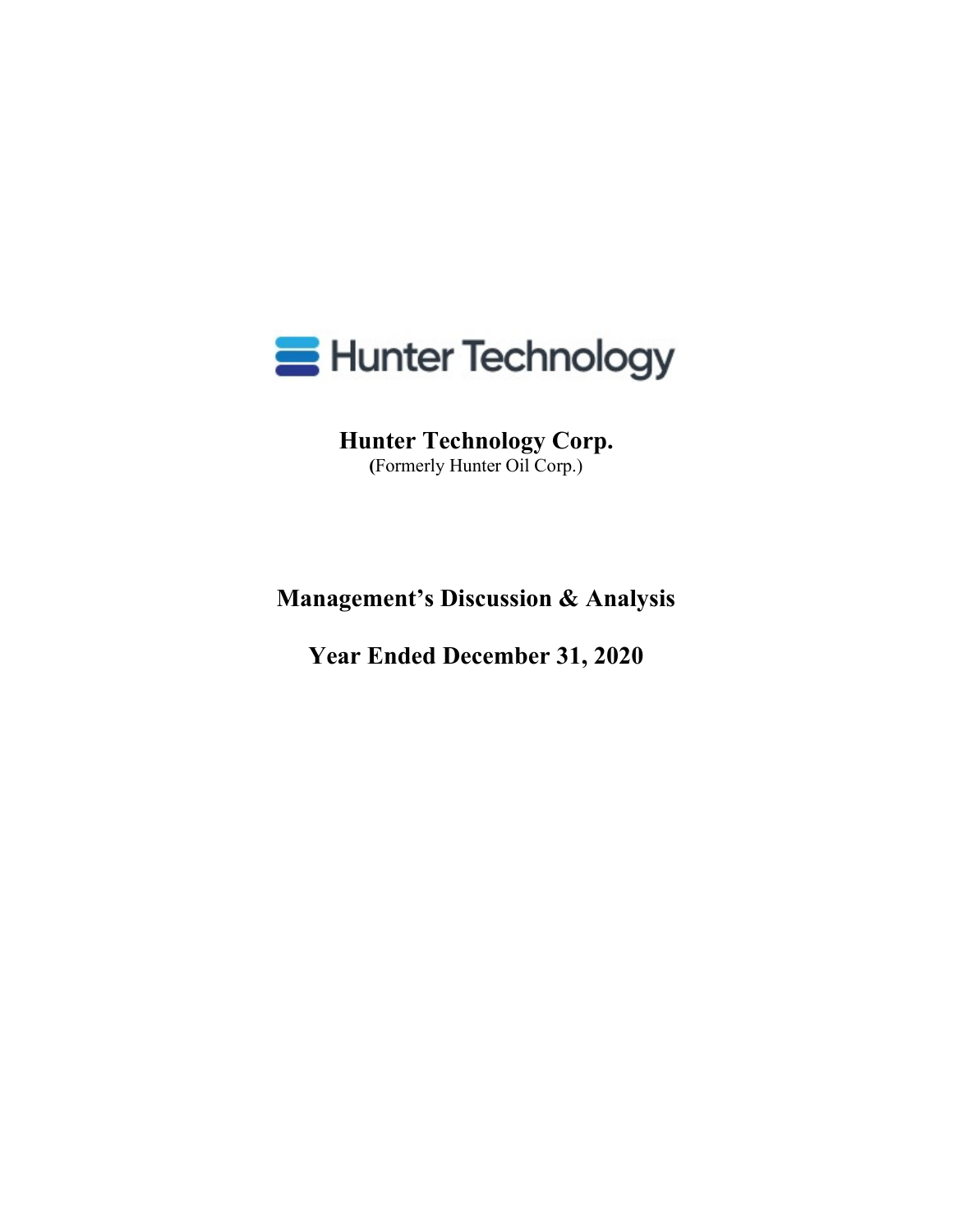

**Hunter Technology Corp. (**Formerly Hunter Oil Corp.)

**Management's Discussion & Analysis**

**Year Ended December 31, 2020**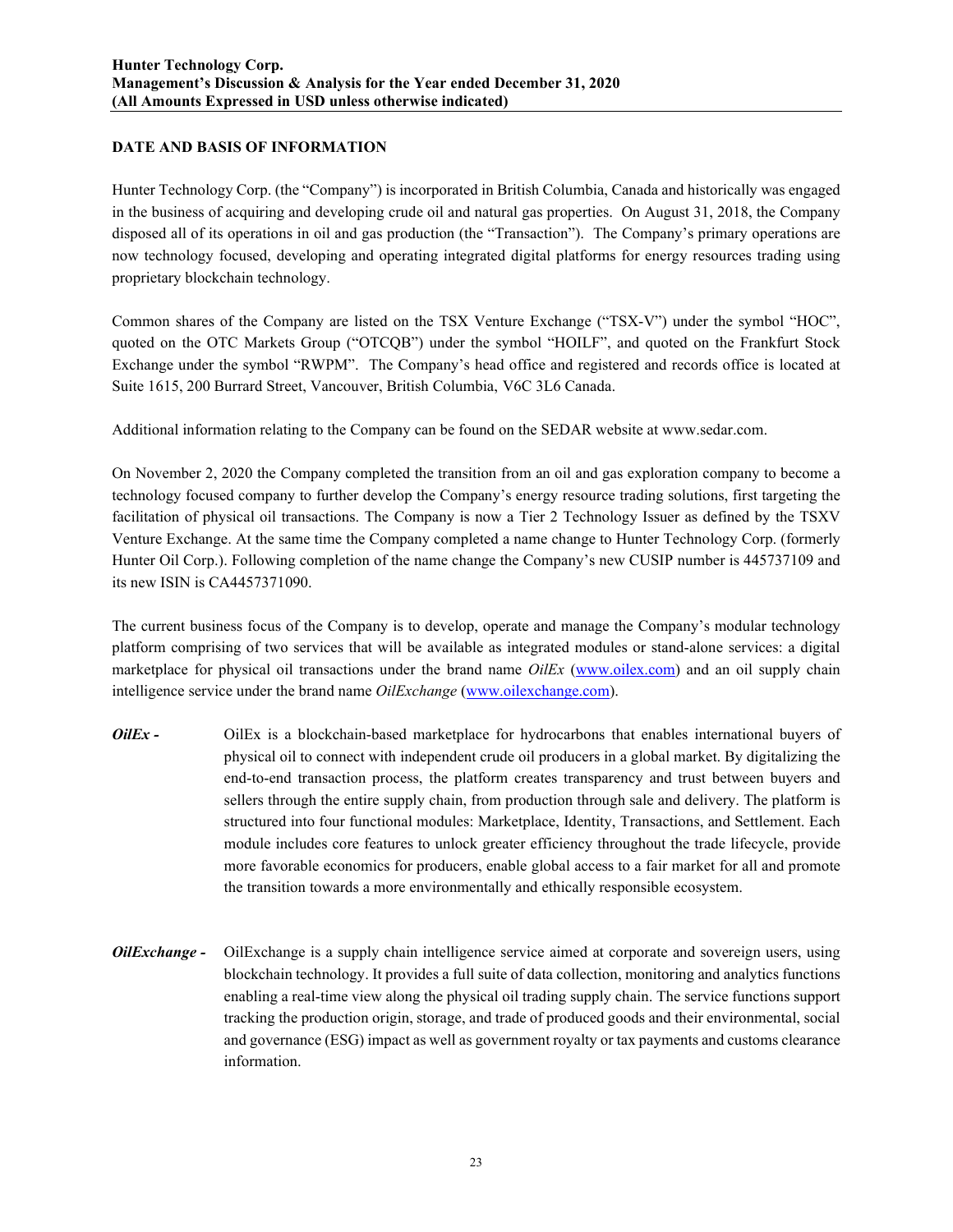## **DATE AND BASIS OF INFORMATION**

Hunter Technology Corp. (the "Company") is incorporated in British Columbia, Canada and historically was engaged in the business of acquiring and developing crude oil and natural gas properties. On August 31, 2018, the Company disposed all of its operations in oil and gas production (the "Transaction"). The Company's primary operations are now technology focused, developing and operating integrated digital platforms for energy resources trading using proprietary blockchain technology.

Common shares of the Company are listed on the TSX Venture Exchange ("TSX-V") under the symbol "HOC", quoted on the OTC Markets Group ("OTCQB") under the symbol "HOILF", and quoted on the Frankfurt Stock Exchange under the symbol "RWPM". The Company's head office and registered and records office is located at Suite 1615, 200 Burrard Street, Vancouver, British Columbia, V6C 3L6 Canada.

Additional information relating to the Company can be found on the SEDAR website at www.sedar.com.

On November 2, 2020 the Company completed the transition from an oil and gas exploration company to become a technology focused company to further develop the Company's energy resource trading solutions, first targeting the facilitation of physical oil transactions. The Company is now a Tier 2 Technology Issuer as defined by the TSXV Venture Exchange. At the same time the Company completed a name change to Hunter Technology Corp. (formerly Hunter Oil Corp.). Following completion of the name change the Company's new CUSIP number is 445737109 and its new ISIN is CA4457371090.

The current business focus of the Company is to develop, operate and manage the Company's modular technology platform comprising of two services that will be available as integrated modules or stand-alone services: a digital marketplace for physical oil transactions under the brand name *OilEx* (www.oilex.com) and an oil supply chain intelligence service under the brand name *OilExchange* (www.oilexchange.com).

- *OilEx* OilEx is a blockchain-based marketplace for hydrocarbons that enables international buyers of physical oil to connect with independent crude oil producers in a global market. By digitalizing the end-to-end transaction process, the platform creates transparency and trust between buyers and sellers through the entire supply chain, from production through sale and delivery. The platform is structured into four functional modules: Marketplace, Identity, Transactions, and Settlement. Each module includes core features to unlock greater efficiency throughout the trade lifecycle, provide more favorable economics for producers, enable global access to a fair market for all and promote the transition towards a more environmentally and ethically responsible ecosystem.
- *OilExchange -* OilExchange is a supply chain intelligence service aimed at corporate and sovereign users, using blockchain technology. It provides a full suite of data collection, monitoring and analytics functions enabling a real-time view along the physical oil trading supply chain. The service functions support tracking the production origin, storage, and trade of produced goods and their environmental, social and governance (ESG) impact as well as government royalty or tax payments and customs clearance information.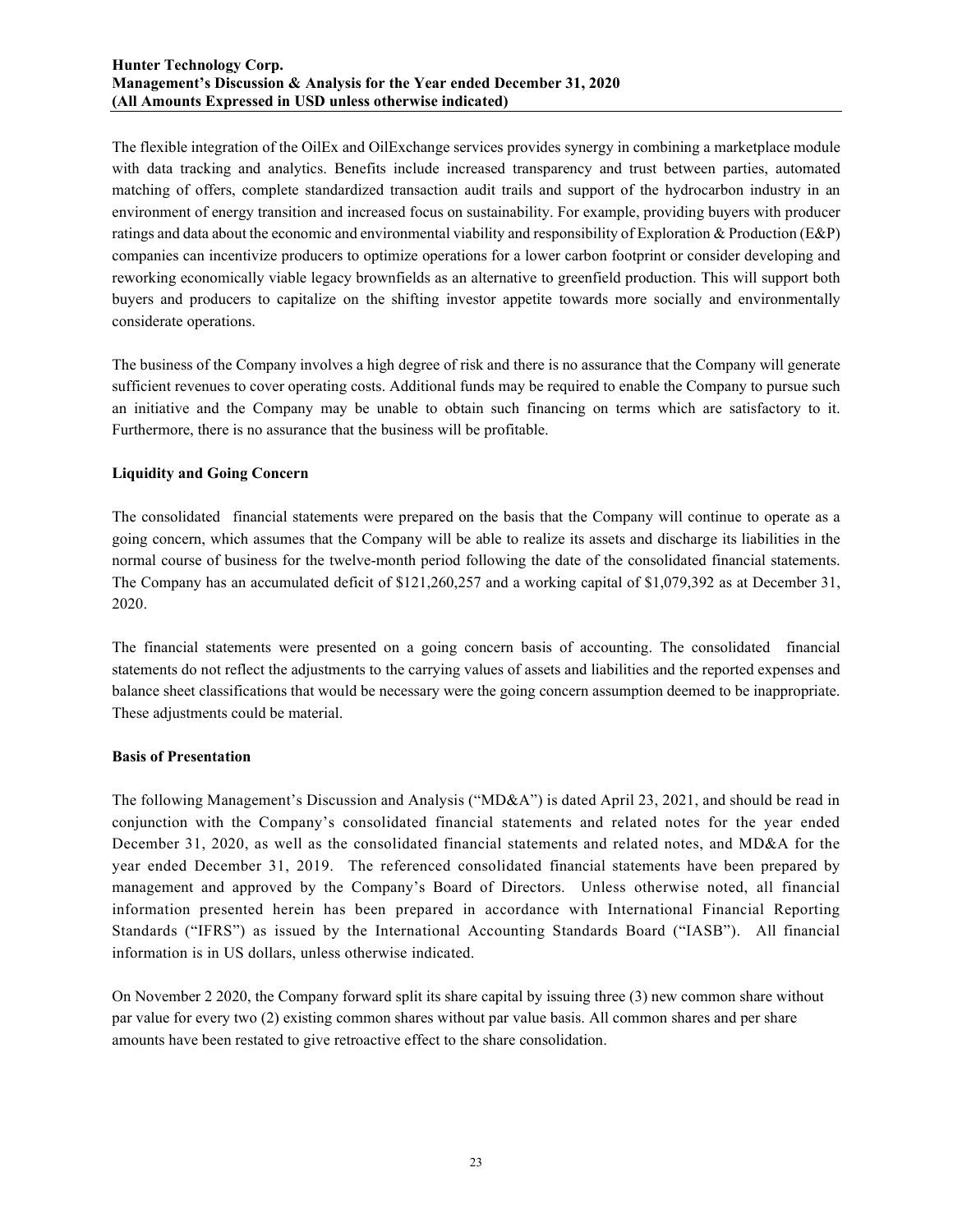The flexible integration of the OilEx and OilExchange services provides synergy in combining a marketplace module with data tracking and analytics. Benefits include increased transparency and trust between parties, automated matching of offers, complete standardized transaction audit trails and support of the hydrocarbon industry in an environment of energy transition and increased focus on sustainability. For example, providing buyers with producer ratings and data about the economic and environmental viability and responsibility of Exploration & Production (E&P) companies can incentivize producers to optimize operations for a lower carbon footprint or consider developing and reworking economically viable legacy brownfields as an alternative to greenfield production. This will support both buyers and producers to capitalize on the shifting investor appetite towards more socially and environmentally considerate operations.

The business of the Company involves a high degree of risk and there is no assurance that the Company will generate sufficient revenues to cover operating costs. Additional funds may be required to enable the Company to pursue such an initiative and the Company may be unable to obtain such financing on terms which are satisfactory to it. Furthermore, there is no assurance that the business will be profitable.

## **Liquidity and Going Concern**

The consolidated financial statements were prepared on the basis that the Company will continue to operate as a going concern, which assumes that the Company will be able to realize its assets and discharge its liabilities in the normal course of business for the twelve-month period following the date of the consolidated financial statements. The Company has an accumulated deficit of \$121,260,257 and a working capital of \$1,079,392 as at December 31, 2020.

The financial statements were presented on a going concern basis of accounting. The consolidated financial statements do not reflect the adjustments to the carrying values of assets and liabilities and the reported expenses and balance sheet classifications that would be necessary were the going concern assumption deemed to be inappropriate. These adjustments could be material.

## **Basis of Presentation**

The following Management's Discussion and Analysis ("MD&A") is dated April 23, 2021, and should be read in conjunction with the Company's consolidated financial statements and related notes for the year ended December 31, 2020, as well as the consolidated financial statements and related notes, and MD&A for the year ended December 31, 2019. The referenced consolidated financial statements have been prepared by management and approved by the Company's Board of Directors. Unless otherwise noted, all financial information presented herein has been prepared in accordance with International Financial Reporting Standards ("IFRS") as issued by the International Accounting Standards Board ("IASB"). All financial information is in US dollars, unless otherwise indicated.

On November 2 2020, the Company forward split its share capital by issuing three (3) new common share without par value for every two (2) existing common shares without par value basis. All common shares and per share amounts have been restated to give retroactive effect to the share consolidation.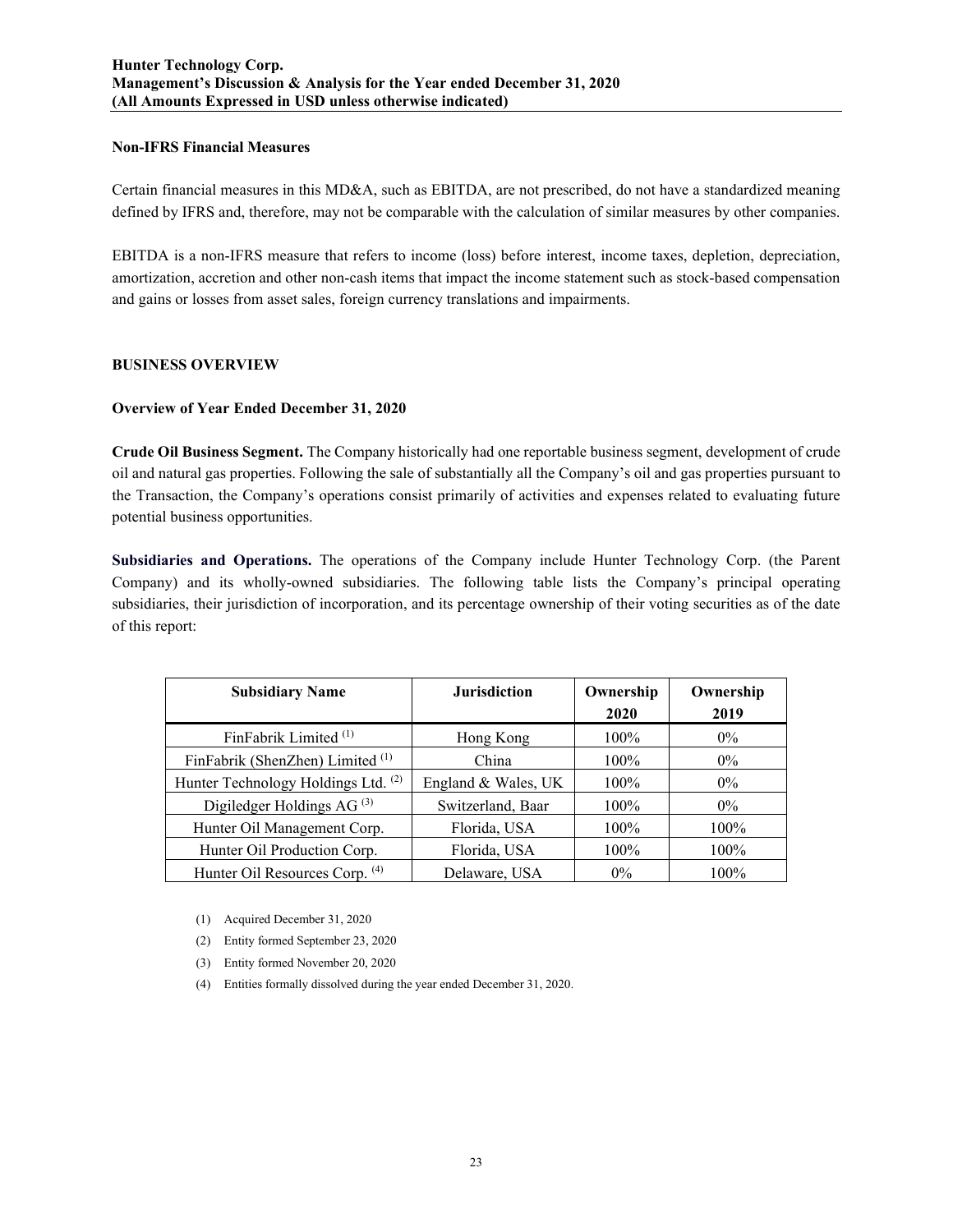#### **Non-IFRS Financial Measures**

Certain financial measures in this MD&A, such as EBITDA, are not prescribed, do not have a standardized meaning defined by IFRS and, therefore, may not be comparable with the calculation of similar measures by other companies.

EBITDA is a non-IFRS measure that refers to income (loss) before interest, income taxes, depletion, depreciation, amortization, accretion and other non-cash items that impact the income statement such as stock-based compensation and gains or losses from asset sales, foreign currency translations and impairments.

## **BUSINESS OVERVIEW**

#### **Overview of Year Ended December 31, 2020**

**Crude Oil Business Segment.** The Company historically had one reportable business segment, development of crude oil and natural gas properties. Following the sale of substantially all the Company's oil and gas properties pursuant to the Transaction, the Company's operations consist primarily of activities and expenses related to evaluating future potential business opportunities.

**Subsidiaries and Operations.** The operations of the Company include Hunter Technology Corp. (the Parent Company) and its wholly-owned subsidiaries. The following table lists the Company's principal operating subsidiaries, their jurisdiction of incorporation, and its percentage ownership of their voting securities as of the date of this report:

| <b>Subsidiary Name</b>              | <b>Jurisdiction</b> | Ownership<br>2020 | Ownership<br>2019 |
|-------------------------------------|---------------------|-------------------|-------------------|
| FinFabrik Limited <sup>(1)</sup>    | Hong Kong           | 100%              | $0\%$             |
| FinFabrik (ShenZhen) Limited (1)    | China               | 100%              | $0\%$             |
| Hunter Technology Holdings Ltd. (2) | England & Wales, UK | $100\%$           | $0\%$             |
| Digiledger Holdings AG $^{(3)}$     | Switzerland, Baar   | $100\%$           | $0\%$             |
| Hunter Oil Management Corp.         | Florida, USA        | $100\%$           | 100%              |
| Hunter Oil Production Corp.         | Florida, USA        | $100\%$           | 100%              |
| Hunter Oil Resources Corp. (4)      | Delaware, USA       | $0\%$             | 100%              |

- (1) Acquired December 31, 2020
- (2) Entity formed September 23, 2020
- (3) Entity formed November 20, 2020
- (4) Entities formally dissolved during the year ended December 31, 2020.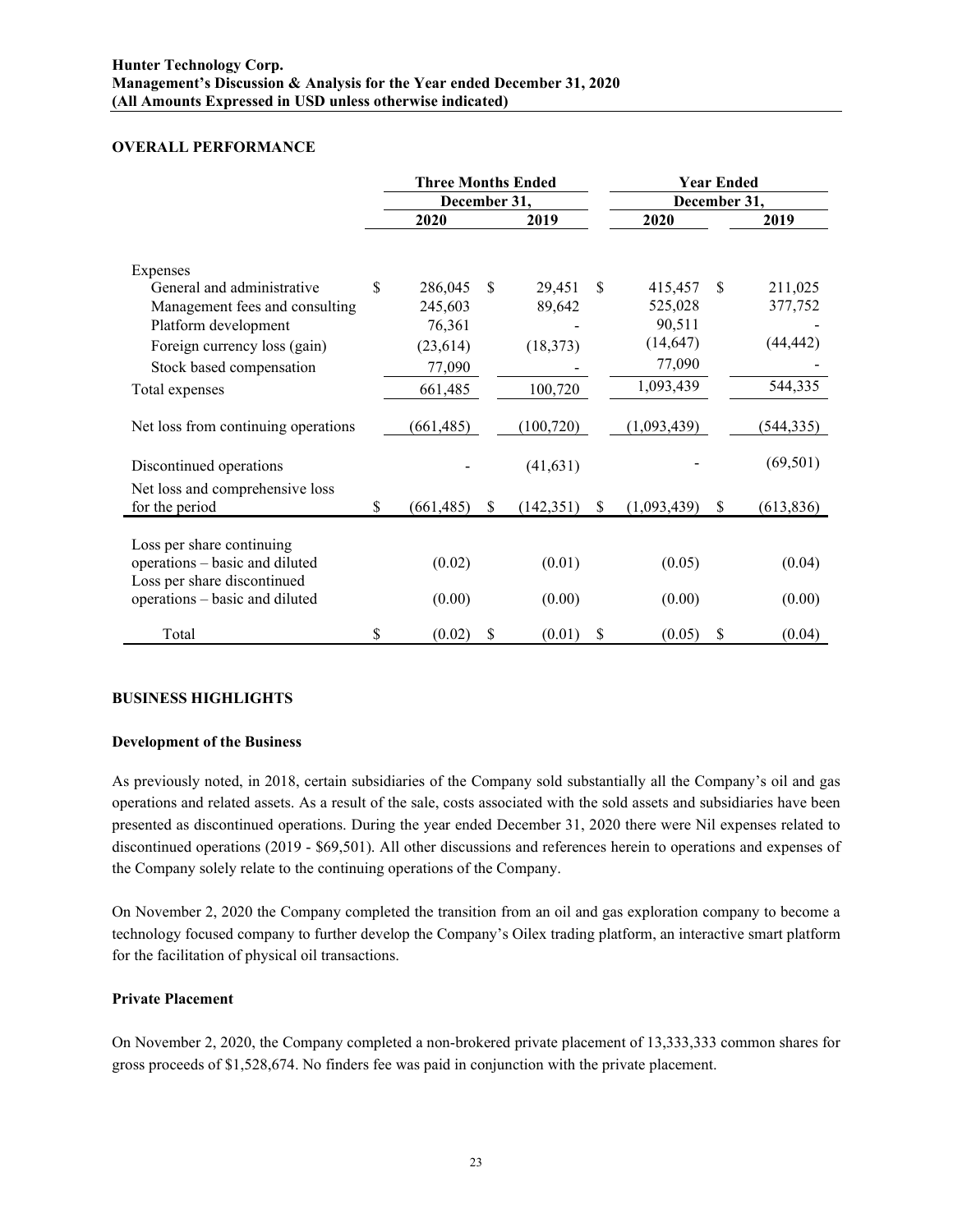## **OVERALL PERFORMANCE**

|                                                               | <b>Three Months Ended</b> |            |               |            | <b>Year Ended</b> |              |               |            |
|---------------------------------------------------------------|---------------------------|------------|---------------|------------|-------------------|--------------|---------------|------------|
|                                                               | December 31,              |            |               |            |                   | December 31, |               |            |
|                                                               |                           | 2020       |               | 2019       |                   | 2020         |               | 2019       |
| Expenses                                                      |                           |            |               |            |                   |              |               |            |
| General and administrative                                    | \$                        | 286,045    | <sup>\$</sup> | 29,451     | <sup>\$</sup>     | 415,457      | <sup>\$</sup> | 211,025    |
| Management fees and consulting                                |                           | 245,603    |               | 89,642     |                   | 525,028      |               | 377,752    |
| Platform development                                          |                           | 76,361     |               |            |                   | 90,511       |               |            |
| Foreign currency loss (gain)                                  |                           | (23, 614)  |               | (18, 373)  |                   | (14, 647)    |               | (44, 442)  |
| Stock based compensation                                      |                           | 77,090     |               |            |                   | 77,090       |               |            |
| Total expenses                                                |                           | 661,485    |               | 100,720    |                   | 1,093,439    |               | 544,335    |
| Net loss from continuing operations                           |                           | (661, 485) |               | (100, 720) |                   | (1,093,439)  |               | (544, 335) |
| Discontinued operations                                       |                           |            |               | (41, 631)  |                   |              |               | (69, 501)  |
| Net loss and comprehensive loss                               |                           |            |               |            |                   |              |               |            |
| for the period                                                | \$                        | (661, 485) | \$            | (142, 351) | \$                | (1,093,439)  | <sup>\$</sup> | (613, 836) |
| Loss per share continuing                                     |                           |            |               |            |                   |              |               |            |
| operations - basic and diluted<br>Loss per share discontinued |                           | (0.02)     |               | (0.01)     |                   | (0.05)       |               | (0.04)     |
| operations - basic and diluted                                |                           | (0.00)     |               | (0.00)     |                   | (0.00)       |               | (0.00)     |
| Total                                                         | \$                        | (0.02)     | \$            | (0.01)     | \$                | (0.05)       | \$            | (0.04)     |

# **BUSINESS HIGHLIGHTS**

## **Development of the Business**

As previously noted, in 2018, certain subsidiaries of the Company sold substantially all the Company's oil and gas operations and related assets. As a result of the sale, costs associated with the sold assets and subsidiaries have been presented as discontinued operations. During the year ended December 31, 2020 there were Nil expenses related to discontinued operations (2019 - \$69,501). All other discussions and references herein to operations and expenses of the Company solely relate to the continuing operations of the Company.

On November 2, 2020 the Company completed the transition from an oil and gas exploration company to become a technology focused company to further develop the Company's Oilex trading platform, an interactive smart platform for the facilitation of physical oil transactions.

## **Private Placement**

On November 2, 2020, the Company completed a non-brokered private placement of 13,333,333 common shares for gross proceeds of \$1,528,674. No finders fee was paid in conjunction with the private placement.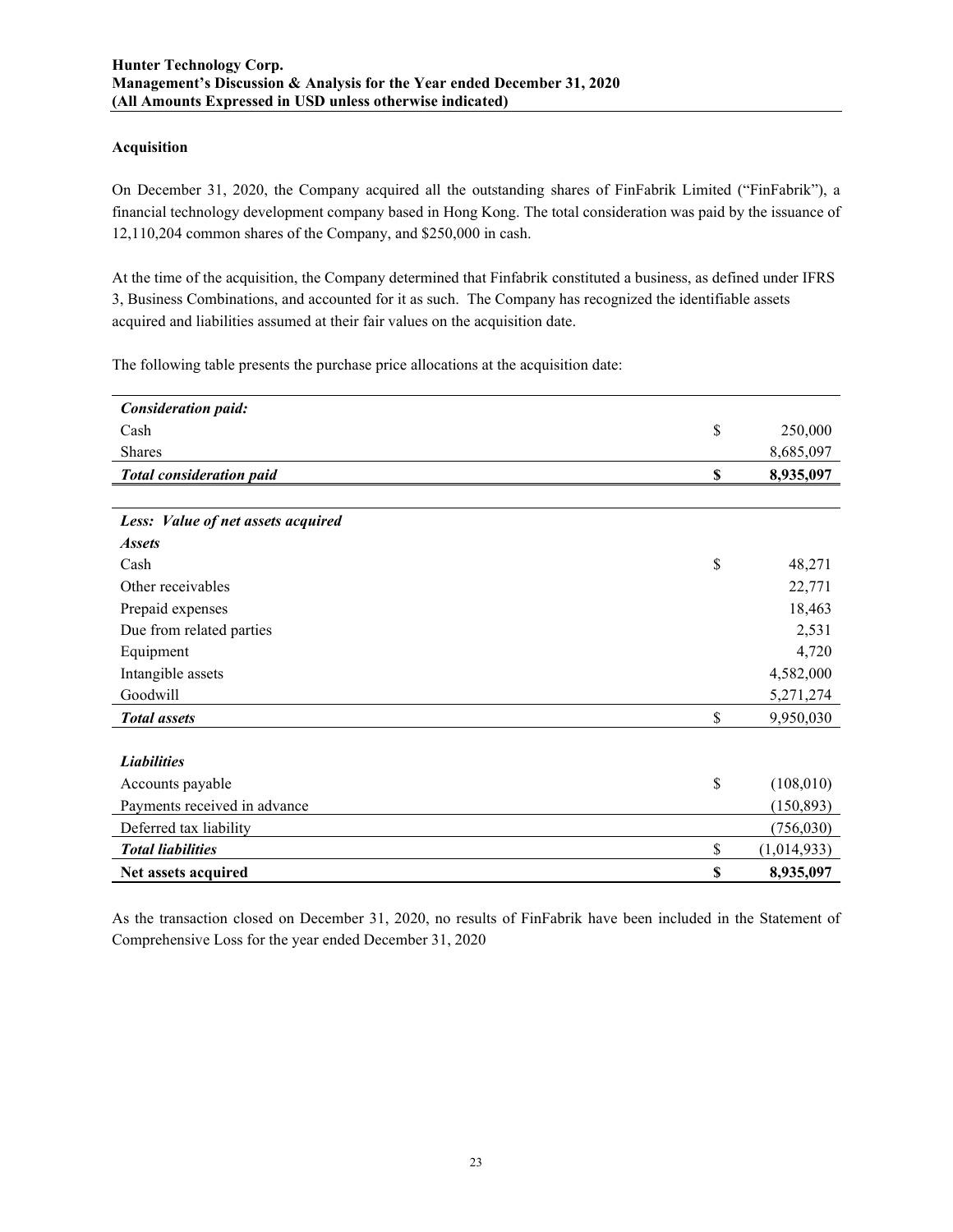#### **Acquisition**

On December 31, 2020, the Company acquired all the outstanding shares of FinFabrik Limited ("FinFabrik"), a financial technology development company based in Hong Kong. The total consideration was paid by the issuance of 12,110,204 common shares of the Company, and \$250,000 in cash.

At the time of the acquisition, the Company determined that Finfabrik constituted a business, as defined under IFRS 3, Business Combinations, and accounted for it as such. The Company has recognized the identifiable assets acquired and liabilities assumed at their fair values on the acquisition date.

The following table presents the purchase price allocations at the acquisition date:

| Net assets acquired                | \$<br>8,935,097   |
|------------------------------------|-------------------|
| <b>Total liabilities</b>           | \$<br>(1,014,933) |
| Deferred tax liability             | (756,030)         |
| Payments received in advance       | (150, 893)        |
| Accounts payable                   | \$<br>(108,010)   |
| <b>Liabilities</b>                 |                   |
| <b>Total</b> assets                | \$<br>9,950,030   |
| Goodwill                           | 5,271,274         |
| Intangible assets                  | 4,582,000         |
| Equipment                          | 4,720             |
| Due from related parties           | 2,531             |
| Prepaid expenses                   | 18,463            |
| Other receivables                  | 22,771            |
| Cash                               | \$<br>48,271      |
| <i><b>Assets</b></i>               |                   |
| Less: Value of net assets acquired |                   |
| <b>Total consideration paid</b>    | \$<br>8,935,097   |
| Shares                             | 8,685,097         |
| Cash                               | \$<br>250,000     |
| <b>Consideration paid:</b>         |                   |

As the transaction closed on December 31, 2020, no results of FinFabrik have been included in the Statement of Comprehensive Loss for the year ended December 31, 2020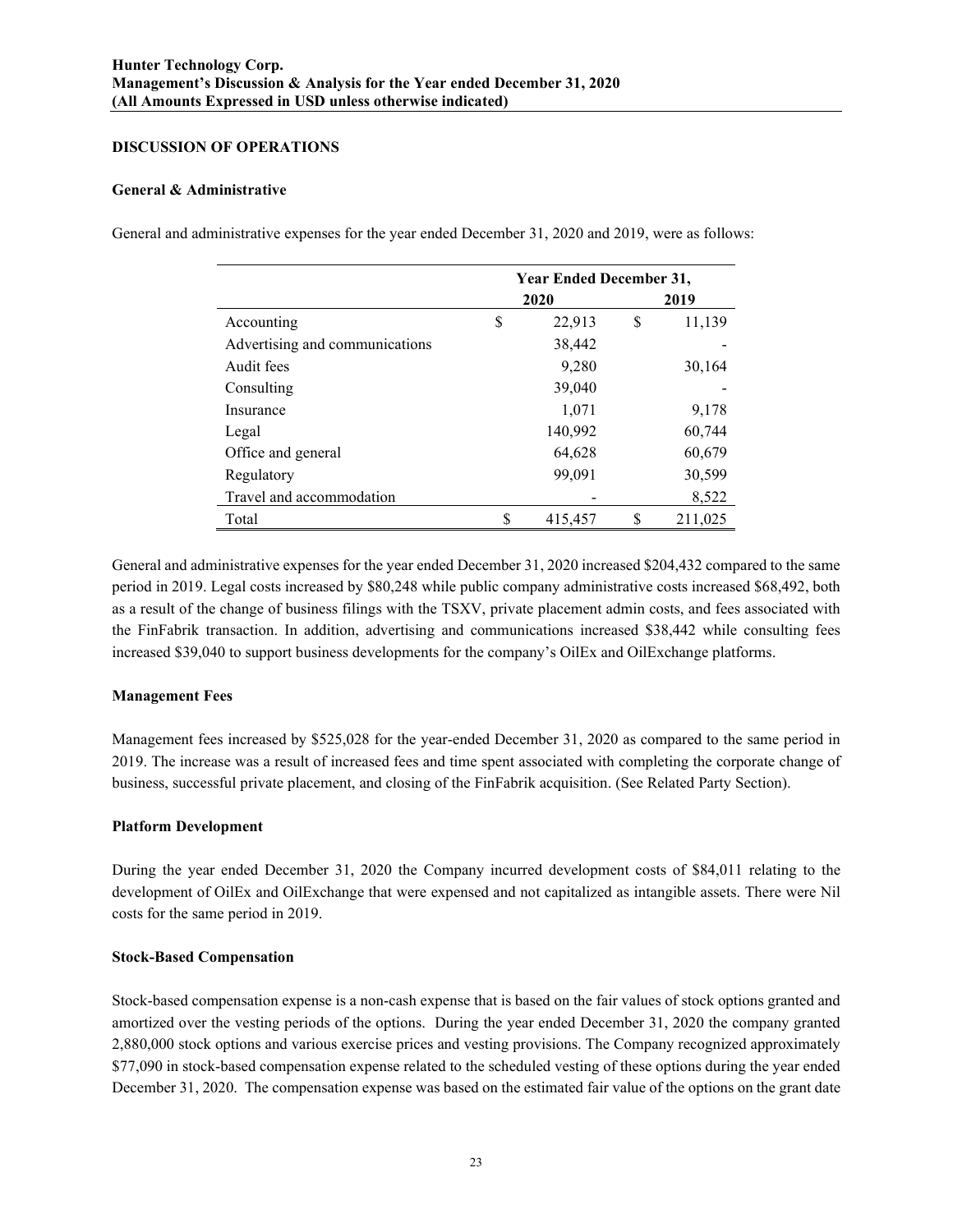#### **DISCUSSION OF OPERATIONS**

#### **General & Administrative**

General and administrative expenses for the year ended December 31, 2020 and 2019, were as follows:

|                                | <b>Year Ended December 31,</b> |         |    |         |  |  |
|--------------------------------|--------------------------------|---------|----|---------|--|--|
|                                | 2019<br>2020                   |         |    |         |  |  |
| Accounting                     | \$                             | 22,913  | \$ | 11,139  |  |  |
| Advertising and communications |                                | 38,442  |    |         |  |  |
| Audit fees                     |                                | 9,280   |    | 30,164  |  |  |
| Consulting                     |                                | 39,040  |    |         |  |  |
| Insurance                      |                                | 1,071   |    | 9,178   |  |  |
| Legal                          |                                | 140,992 |    | 60,744  |  |  |
| Office and general             |                                | 64,628  |    | 60,679  |  |  |
| Regulatory                     |                                | 99,091  |    | 30,599  |  |  |
| Travel and accommodation       |                                |         |    | 8,522   |  |  |
| Total                          | S                              | 415,457 |    | 211,025 |  |  |

General and administrative expenses for the year ended December 31, 2020 increased \$204,432 compared to the same period in 2019. Legal costs increased by \$80,248 while public company administrative costs increased \$68,492, both as a result of the change of business filings with the TSXV, private placement admin costs, and fees associated with the FinFabrik transaction. In addition, advertising and communications increased \$38,442 while consulting fees increased \$39,040 to support business developments for the company's OilEx and OilExchange platforms.

## **Management Fees**

Management fees increased by \$525,028 for the year-ended December 31, 2020 as compared to the same period in 2019. The increase was a result of increased fees and time spent associated with completing the corporate change of business, successful private placement, and closing of the FinFabrik acquisition. (See Related Party Section).

## **Platform Development**

During the year ended December 31, 2020 the Company incurred development costs of \$84,011 relating to the development of OilEx and OilExchange that were expensed and not capitalized as intangible assets. There were Nil costs for the same period in 2019.

## **Stock-Based Compensation**

Stock-based compensation expense is a non-cash expense that is based on the fair values of stock options granted and amortized over the vesting periods of the options. During the year ended December 31, 2020 the company granted 2,880,000 stock options and various exercise prices and vesting provisions. The Company recognized approximately \$77,090 in stock-based compensation expense related to the scheduled vesting of these options during the year ended December 31, 2020. The compensation expense was based on the estimated fair value of the options on the grant date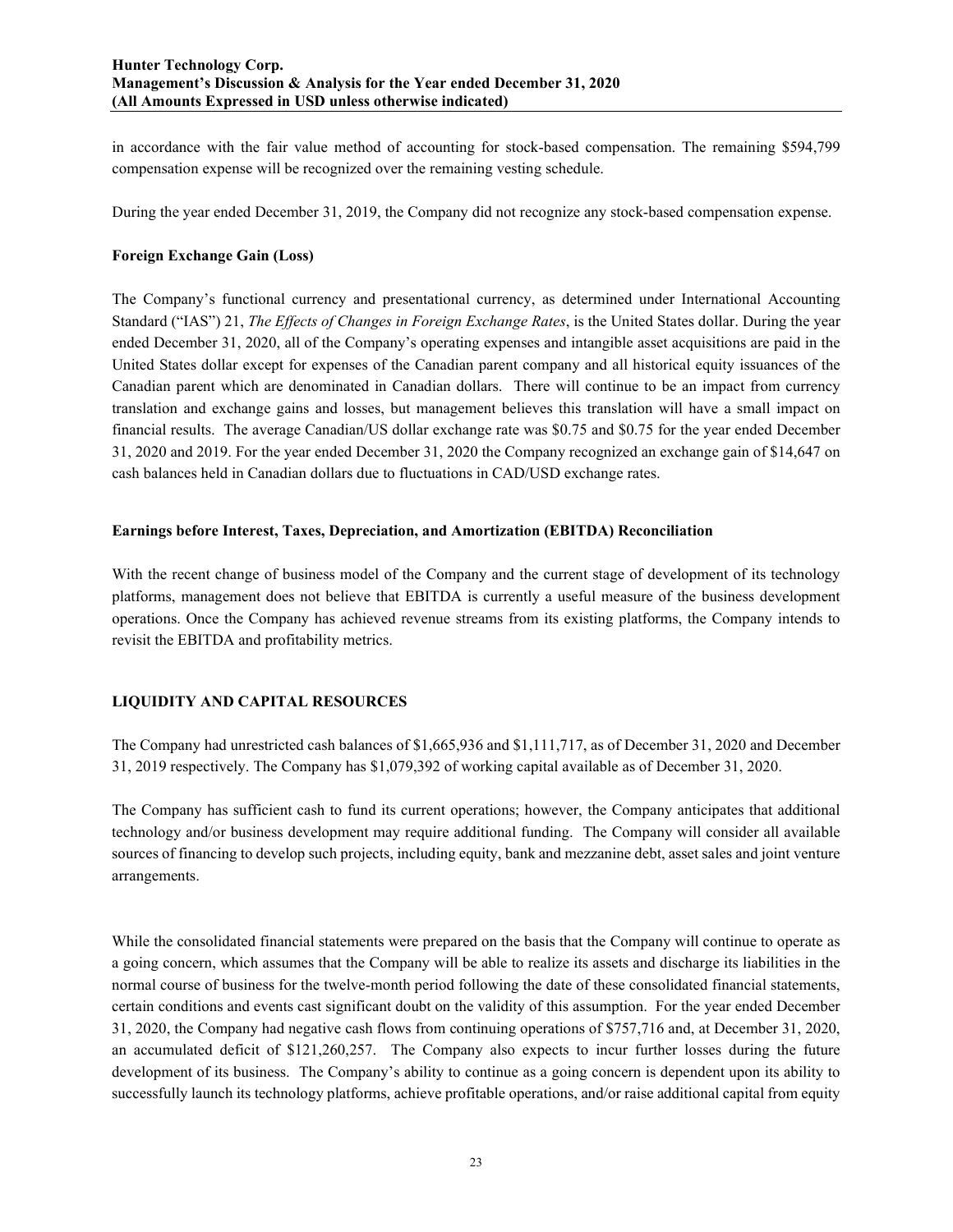in accordance with the fair value method of accounting for stock-based compensation. The remaining \$594,799 compensation expense will be recognized over the remaining vesting schedule.

During the year ended December 31, 2019, the Company did not recognize any stock-based compensation expense.

## **Foreign Exchange Gain (Loss)**

The Company's functional currency and presentational currency, as determined under International Accounting Standard ("IAS") 21, *The Effects of Changes in Foreign Exchange Rates*, is the United States dollar. During the year ended December 31, 2020, all of the Company's operating expenses and intangible asset acquisitions are paid in the United States dollar except for expenses of the Canadian parent company and all historical equity issuances of the Canadian parent which are denominated in Canadian dollars. There will continue to be an impact from currency translation and exchange gains and losses, but management believes this translation will have a small impact on financial results. The average Canadian/US dollar exchange rate was \$0.75 and \$0.75 for the year ended December 31, 2020 and 2019. For the year ended December 31, 2020 the Company recognized an exchange gain of \$14,647 on cash balances held in Canadian dollars due to fluctuations in CAD/USD exchange rates.

## **Earnings before Interest, Taxes, Depreciation, and Amortization (EBITDA) Reconciliation**

With the recent change of business model of the Company and the current stage of development of its technology platforms, management does not believe that EBITDA is currently a useful measure of the business development operations. Once the Company has achieved revenue streams from its existing platforms, the Company intends to revisit the EBITDA and profitability metrics.

# **LIQUIDITY AND CAPITAL RESOURCES**

The Company had unrestricted cash balances of \$1,665,936 and \$1,111,717, as of December 31, 2020 and December 31, 2019 respectively. The Company has \$1,079,392 of working capital available as of December 31, 2020.

The Company has sufficient cash to fund its current operations; however, the Company anticipates that additional technology and/or business development may require additional funding. The Company will consider all available sources of financing to develop such projects, including equity, bank and mezzanine debt, asset sales and joint venture arrangements.

While the consolidated financial statements were prepared on the basis that the Company will continue to operate as a going concern, which assumes that the Company will be able to realize its assets and discharge its liabilities in the normal course of business for the twelve-month period following the date of these consolidated financial statements, certain conditions and events cast significant doubt on the validity of this assumption. For the year ended December 31, 2020, the Company had negative cash flows from continuing operations of \$757,716 and, at December 31, 2020, an accumulated deficit of \$121,260,257. The Company also expects to incur further losses during the future development of its business. The Company's ability to continue as a going concern is dependent upon its ability to successfully launch its technology platforms, achieve profitable operations, and/or raise additional capital from equity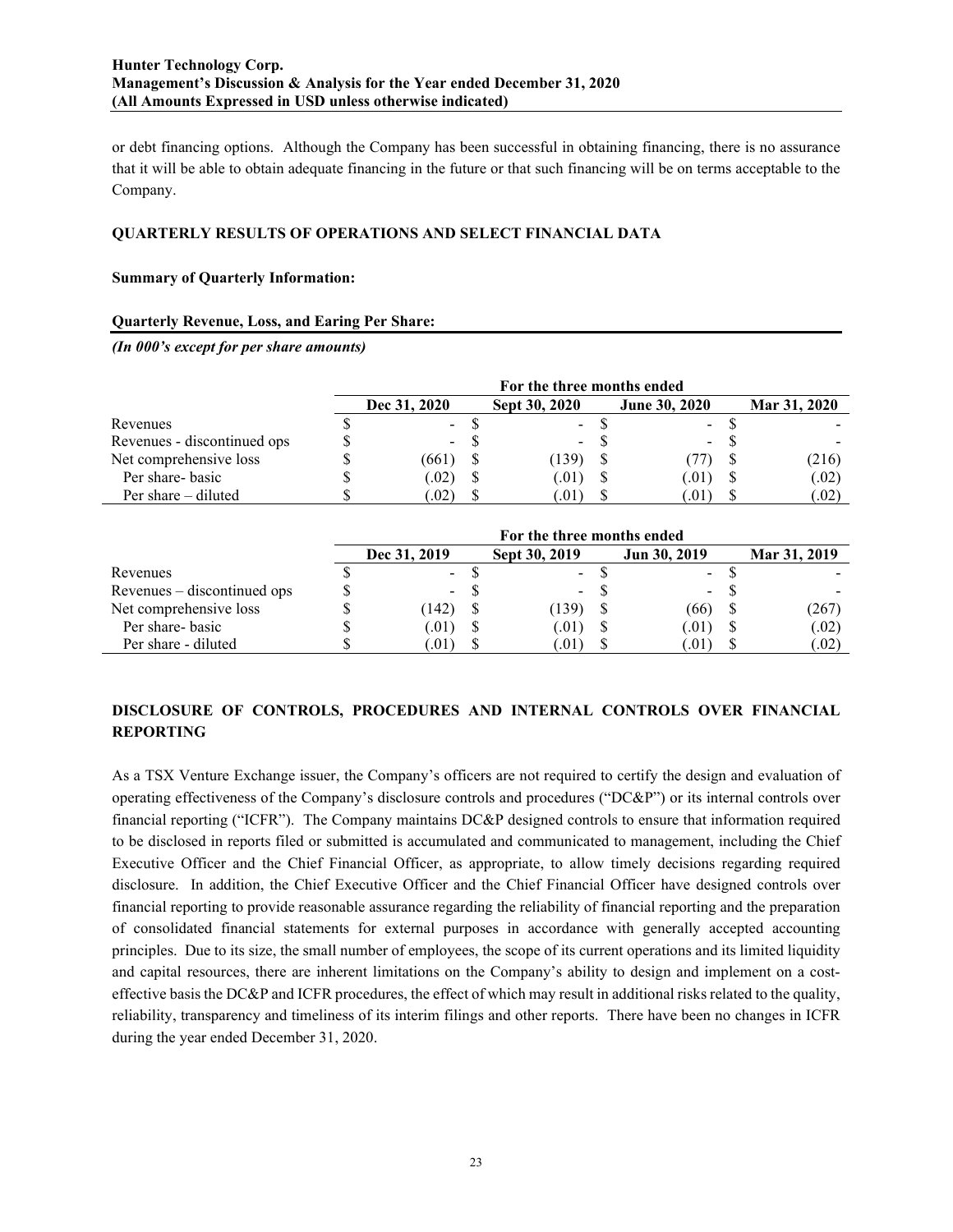or debt financing options. Although the Company has been successful in obtaining financing, there is no assurance that it will be able to obtain adequate financing in the future or that such financing will be on terms acceptable to the Company.

## **QUARTERLY RESULTS OF OPERATIONS AND SELECT FINANCIAL DATA**

## **Summary of Quarterly Information:**

#### **Quarterly Revenue, Loss, and Earing Per Share:**

*(In 000's except for per share amounts)*

|                             | For the three months ended |              |  |               |  |                      | Mar 31, 2020<br>(216) |       |  |  |  |
|-----------------------------|----------------------------|--------------|--|---------------|--|----------------------|-----------------------|-------|--|--|--|
|                             |                            | Dec 31, 2020 |  | Sept 30, 2020 |  | <b>June 30, 2020</b> |                       |       |  |  |  |
| Revenues                    |                            | - 8          |  | $\sim 100$    |  | $\sim 100$           |                       |       |  |  |  |
| Revenues - discontinued ops |                            | $\sim$       |  | $\sim$        |  | $\sim$               |                       |       |  |  |  |
| Net comprehensive loss      |                            | (661)        |  | (139)         |  |                      |                       |       |  |  |  |
| Per share- basic            |                            | (0.02)       |  | (.01)         |  | 01)                  |                       | (.02) |  |  |  |
| Per share $-$ diluted       |                            | .02)         |  | (.01)         |  | .U I )               |                       | (.02) |  |  |  |

|                             | For the three months ended |  |                          |  |              |  |              |
|-----------------------------|----------------------------|--|--------------------------|--|--------------|--|--------------|
|                             | Dec 31, 2019               |  | Sept 30, 2019            |  | Jun 30, 2019 |  | Mar 31, 2019 |
| Revenues                    | $\sim$                     |  | $\sim$                   |  | $\sim$       |  |              |
| Revenues – discontinued ops | $\sim$                     |  | $\overline{\phantom{0}}$ |  | $\sim$       |  |              |
| Net comprehensive loss      | (142)                      |  | (139)                    |  | (66)         |  | (267)        |
| Per share-basic             | (.01)                      |  | (.01)                    |  | (01)         |  | (.02)        |
| Per share - diluted         | .01)                       |  | (101                     |  | .01)         |  | (.02)        |

# **DISCLOSURE OF CONTROLS, PROCEDURES AND INTERNAL CONTROLS OVER FINANCIAL REPORTING**

As a TSX Venture Exchange issuer, the Company's officers are not required to certify the design and evaluation of operating effectiveness of the Company's disclosure controls and procedures ("DC&P") or its internal controls over financial reporting ("ICFR"). The Company maintains DC&P designed controls to ensure that information required to be disclosed in reports filed or submitted is accumulated and communicated to management, including the Chief Executive Officer and the Chief Financial Officer, as appropriate, to allow timely decisions regarding required disclosure. In addition, the Chief Executive Officer and the Chief Financial Officer have designed controls over financial reporting to provide reasonable assurance regarding the reliability of financial reporting and the preparation of consolidated financial statements for external purposes in accordance with generally accepted accounting principles. Due to its size, the small number of employees, the scope of its current operations and its limited liquidity and capital resources, there are inherent limitations on the Company's ability to design and implement on a costeffective basis the DC&P and ICFR procedures, the effect of which may result in additional risks related to the quality, reliability, transparency and timeliness of its interim filings and other reports. There have been no changes in ICFR during the year ended December 31, 2020.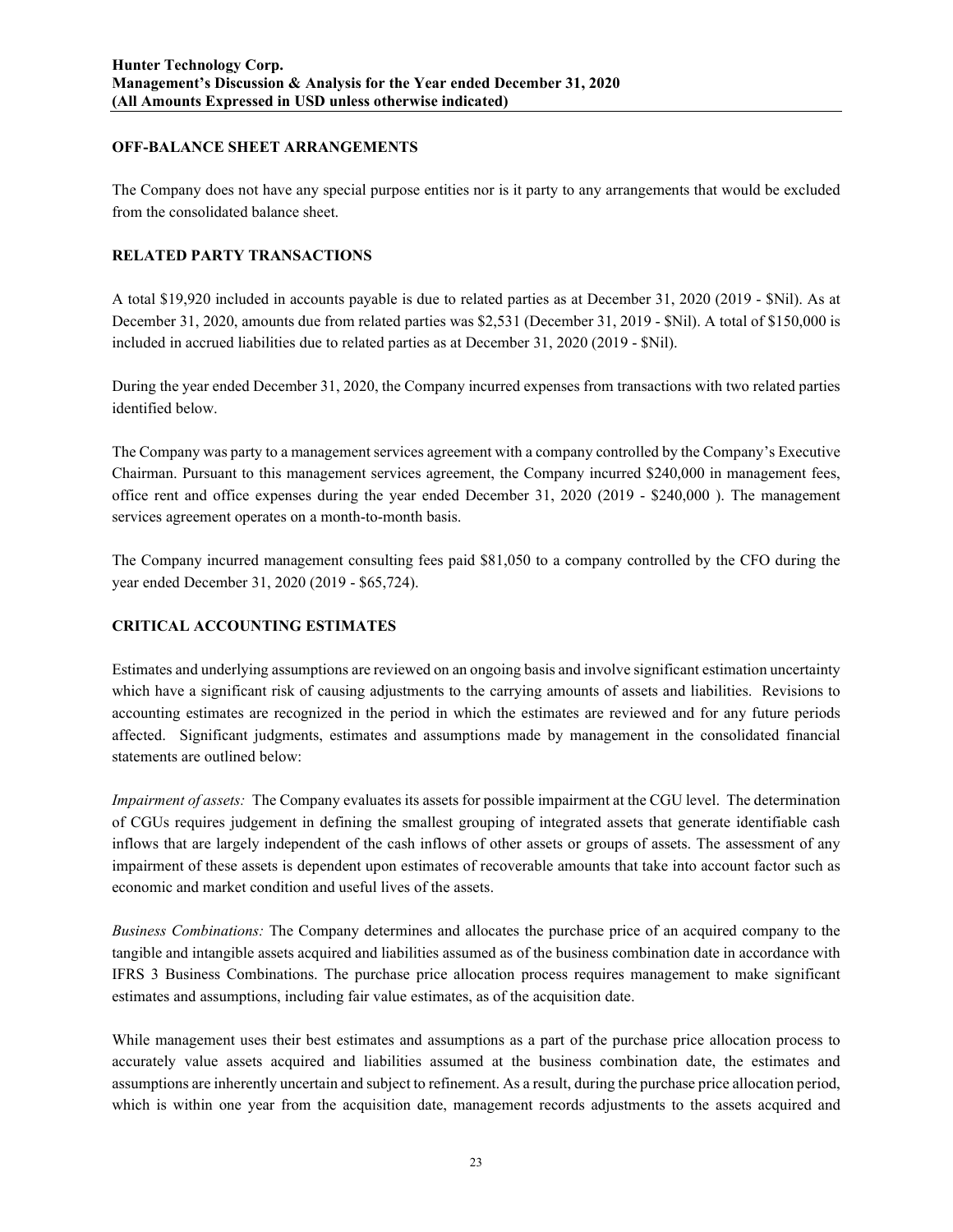## **OFF-BALANCE SHEET ARRANGEMENTS**

The Company does not have any special purpose entities nor is it party to any arrangements that would be excluded from the consolidated balance sheet.

# **RELATED PARTY TRANSACTIONS**

A total \$19,920 included in accounts payable is due to related parties as at December 31, 2020 (2019 - \$Nil). As at December 31, 2020, amounts due from related parties was \$2,531 (December 31, 2019 - \$Nil). A total of \$150,000 is included in accrued liabilities due to related parties as at December 31, 2020 (2019 - \$Nil).

During the year ended December 31, 2020, the Company incurred expenses from transactions with two related parties identified below.

The Company was party to a management services agreement with a company controlled by the Company's Executive Chairman. Pursuant to this management services agreement, the Company incurred \$240,000 in management fees, office rent and office expenses during the year ended December 31, 2020 (2019 - \$240,000 ). The management services agreement operates on a month-to-month basis.

The Company incurred management consulting fees paid \$81,050 to a company controlled by the CFO during the year ended December 31, 2020 (2019 - \$65,724).

# **CRITICAL ACCOUNTING ESTIMATES**

Estimates and underlying assumptions are reviewed on an ongoing basis and involve significant estimation uncertainty which have a significant risk of causing adjustments to the carrying amounts of assets and liabilities. Revisions to accounting estimates are recognized in the period in which the estimates are reviewed and for any future periods affected. Significant judgments, estimates and assumptions made by management in the consolidated financial statements are outlined below:

*Impairment of assets:* The Company evaluates its assets for possible impairment at the CGU level. The determination of CGUs requires judgement in defining the smallest grouping of integrated assets that generate identifiable cash inflows that are largely independent of the cash inflows of other assets or groups of assets. The assessment of any impairment of these assets is dependent upon estimates of recoverable amounts that take into account factor such as economic and market condition and useful lives of the assets.

*Business Combinations:* The Company determines and allocates the purchase price of an acquired company to the tangible and intangible assets acquired and liabilities assumed as of the business combination date in accordance with IFRS 3 Business Combinations. The purchase price allocation process requires management to make significant estimates and assumptions, including fair value estimates, as of the acquisition date.

While management uses their best estimates and assumptions as a part of the purchase price allocation process to accurately value assets acquired and liabilities assumed at the business combination date, the estimates and assumptions are inherently uncertain and subject to refinement. As a result, during the purchase price allocation period, which is within one year from the acquisition date, management records adjustments to the assets acquired and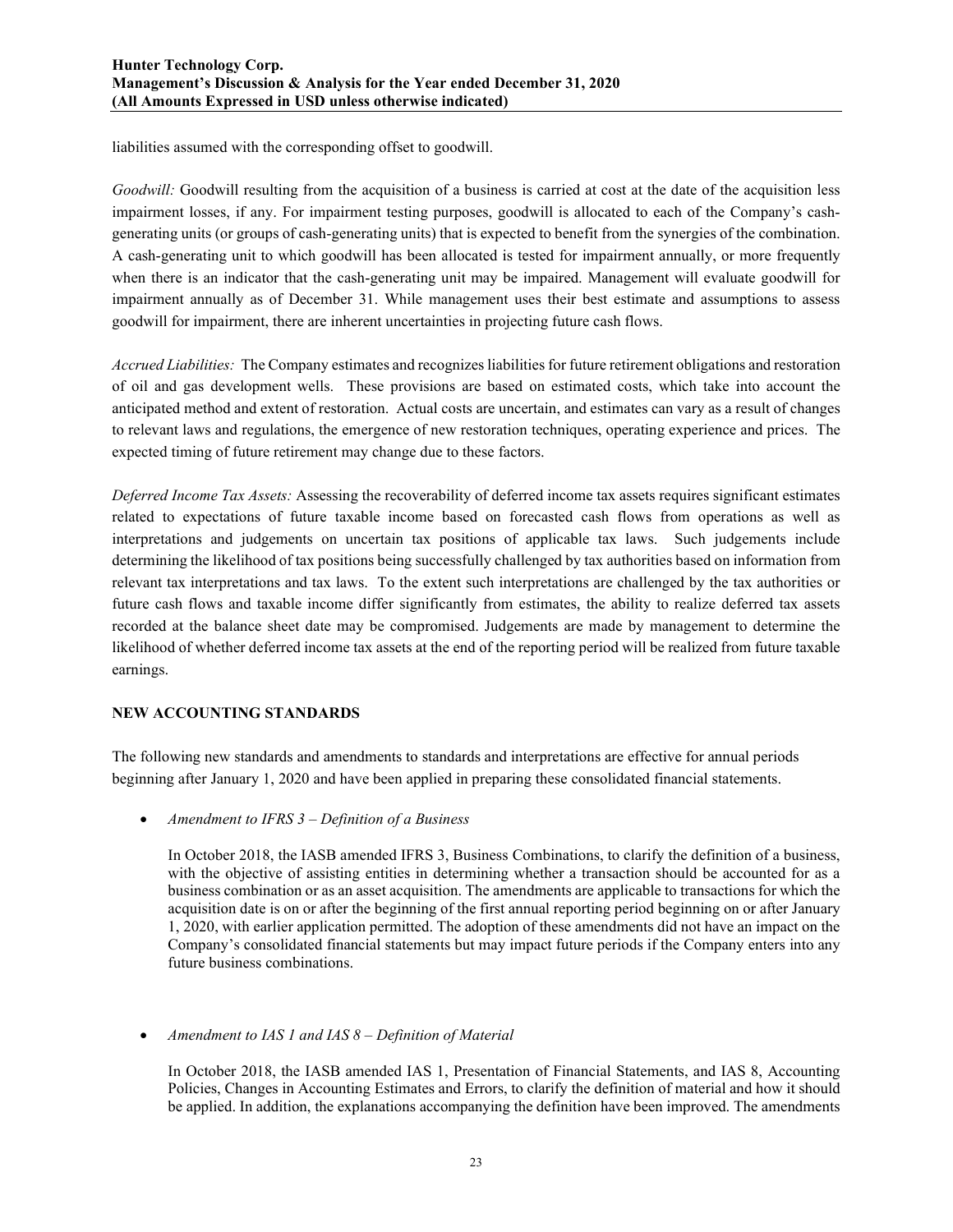liabilities assumed with the corresponding offset to goodwill.

*Goodwill:* Goodwill resulting from the acquisition of a business is carried at cost at the date of the acquisition less impairment losses, if any. For impairment testing purposes, goodwill is allocated to each of the Company's cashgenerating units (or groups of cash-generating units) that is expected to benefit from the synergies of the combination. A cash-generating unit to which goodwill has been allocated is tested for impairment annually, or more frequently when there is an indicator that the cash-generating unit may be impaired. Management will evaluate goodwill for impairment annually as of December 31. While management uses their best estimate and assumptions to assess goodwill for impairment, there are inherent uncertainties in projecting future cash flows.

*Accrued Liabilities:* The Company estimates and recognizes liabilities for future retirement obligations and restoration of oil and gas development wells. These provisions are based on estimated costs, which take into account the anticipated method and extent of restoration. Actual costs are uncertain, and estimates can vary as a result of changes to relevant laws and regulations, the emergence of new restoration techniques, operating experience and prices. The expected timing of future retirement may change due to these factors.

*Deferred Income Tax Assets:* Assessing the recoverability of deferred income tax assets requires significant estimates related to expectations of future taxable income based on forecasted cash flows from operations as well as interpretations and judgements on uncertain tax positions of applicable tax laws. Such judgements include determining the likelihood of tax positions being successfully challenged by tax authorities based on information from relevant tax interpretations and tax laws. To the extent such interpretations are challenged by the tax authorities or future cash flows and taxable income differ significantly from estimates, the ability to realize deferred tax assets recorded at the balance sheet date may be compromised. Judgements are made by management to determine the likelihood of whether deferred income tax assets at the end of the reporting period will be realized from future taxable earnings.

# **NEW ACCOUNTING STANDARDS**

The following new standards and amendments to standards and interpretations are effective for annual periods beginning after January 1, 2020 and have been applied in preparing these consolidated financial statements.

• *Amendment to IFRS 3 – Definition of a Business*

In October 2018, the IASB amended IFRS 3, Business Combinations, to clarify the definition of a business, with the objective of assisting entities in determining whether a transaction should be accounted for as a business combination or as an asset acquisition. The amendments are applicable to transactions for which the acquisition date is on or after the beginning of the first annual reporting period beginning on or after January 1, 2020, with earlier application permitted. The adoption of these amendments did not have an impact on the Company's consolidated financial statements but may impact future periods if the Company enters into any future business combinations.

• *Amendment to IAS 1 and IAS 8 – Definition of Material*

In October 2018, the IASB amended IAS 1, Presentation of Financial Statements, and IAS 8, Accounting Policies, Changes in Accounting Estimates and Errors, to clarify the definition of material and how it should be applied. In addition, the explanations accompanying the definition have been improved. The amendments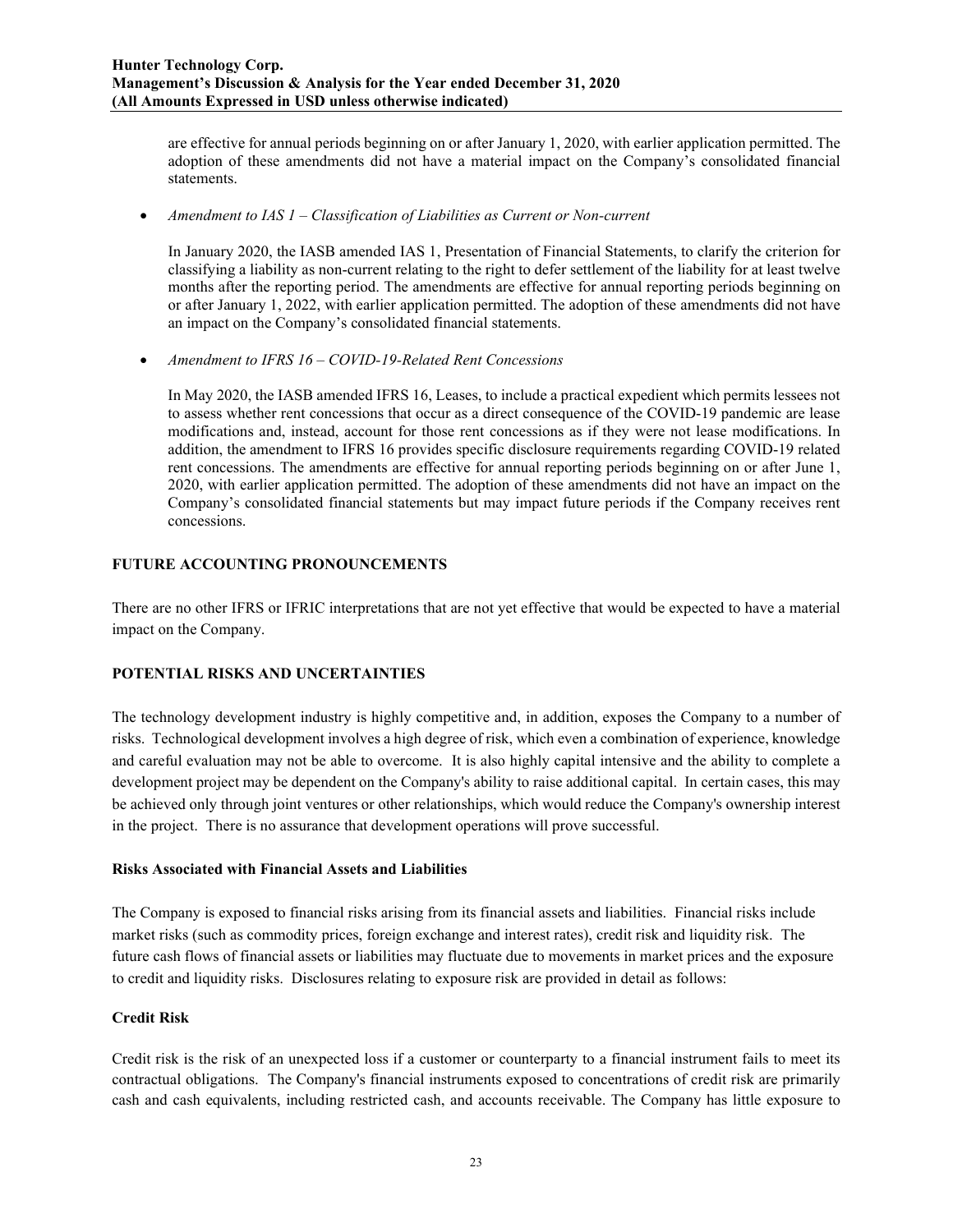are effective for annual periods beginning on or after January 1, 2020, with earlier application permitted. The adoption of these amendments did not have a material impact on the Company's consolidated financial statements.

• *Amendment to IAS 1 – Classification of Liabilities as Current or Non-current*

In January 2020, the IASB amended IAS 1, Presentation of Financial Statements, to clarify the criterion for classifying a liability as non-current relating to the right to defer settlement of the liability for at least twelve months after the reporting period. The amendments are effective for annual reporting periods beginning on or after January 1, 2022, with earlier application permitted. The adoption of these amendments did not have an impact on the Company's consolidated financial statements.

• *Amendment to IFRS 16 – COVID-19-Related Rent Concessions*

In May 2020, the IASB amended IFRS 16, Leases, to include a practical expedient which permits lessees not to assess whether rent concessions that occur as a direct consequence of the COVID-19 pandemic are lease modifications and, instead, account for those rent concessions as if they were not lease modifications. In addition, the amendment to IFRS 16 provides specific disclosure requirements regarding COVID-19 related rent concessions. The amendments are effective for annual reporting periods beginning on or after June 1, 2020, with earlier application permitted. The adoption of these amendments did not have an impact on the Company's consolidated financial statements but may impact future periods if the Company receives rent concessions.

# **FUTURE ACCOUNTING PRONOUNCEMENTS**

There are no other IFRS or IFRIC interpretations that are not yet effective that would be expected to have a material impact on the Company.

## **POTENTIAL RISKS AND UNCERTAINTIES**

The technology development industry is highly competitive and, in addition, exposes the Company to a number of risks. Technological development involves a high degree of risk, which even a combination of experience, knowledge and careful evaluation may not be able to overcome. It is also highly capital intensive and the ability to complete a development project may be dependent on the Company's ability to raise additional capital. In certain cases, this may be achieved only through joint ventures or other relationships, which would reduce the Company's ownership interest in the project. There is no assurance that development operations will prove successful.

## **Risks Associated with Financial Assets and Liabilities**

The Company is exposed to financial risks arising from its financial assets and liabilities. Financial risks include market risks (such as commodity prices, foreign exchange and interest rates), credit risk and liquidity risk. The future cash flows of financial assets or liabilities may fluctuate due to movements in market prices and the exposure to credit and liquidity risks. Disclosures relating to exposure risk are provided in detail as follows:

## **Credit Risk**

Credit risk is the risk of an unexpected loss if a customer or counterparty to a financial instrument fails to meet its contractual obligations. The Company's financial instruments exposed to concentrations of credit risk are primarily cash and cash equivalents, including restricted cash, and accounts receivable. The Company has little exposure to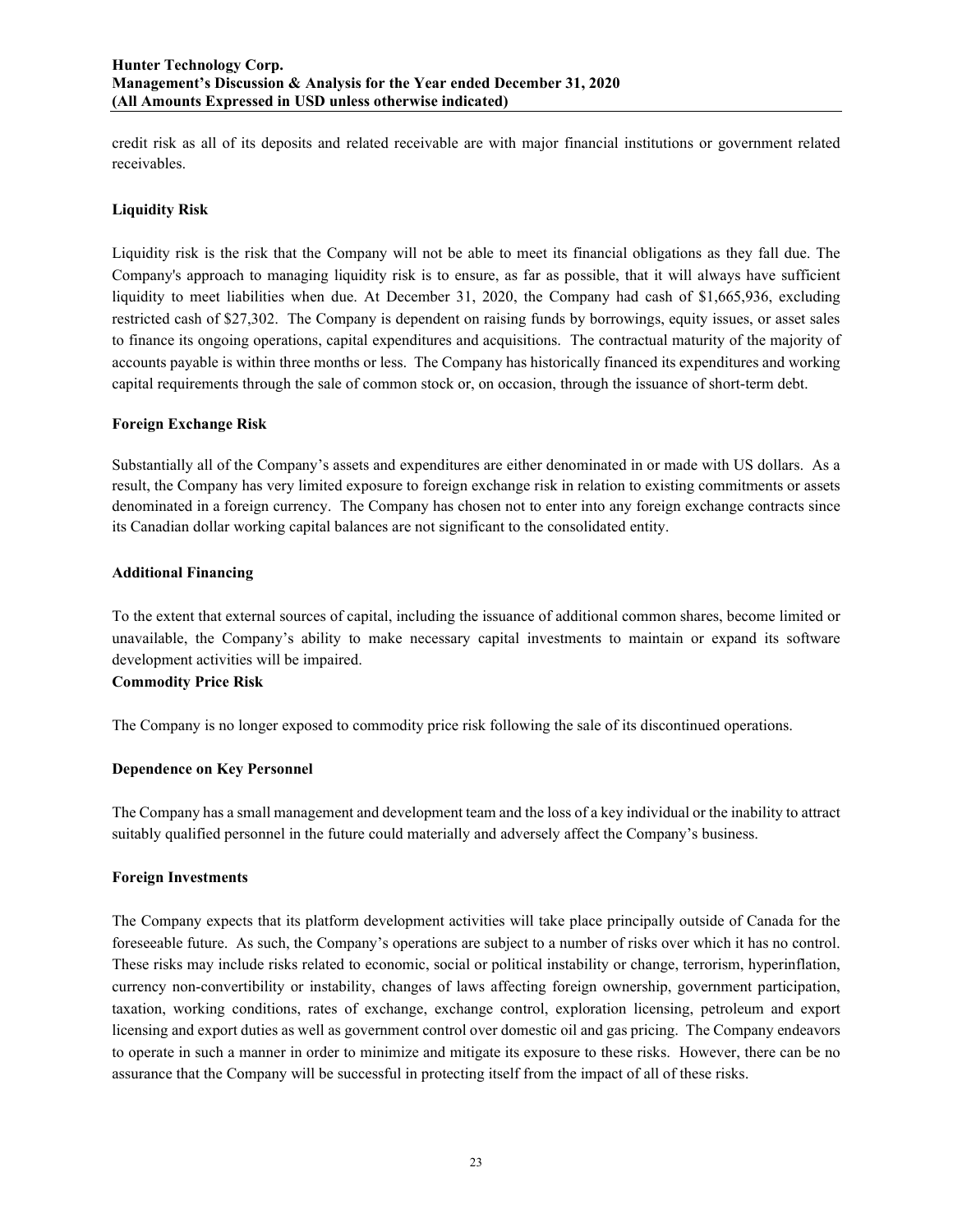credit risk as all of its deposits and related receivable are with major financial institutions or government related receivables.

## **Liquidity Risk**

Liquidity risk is the risk that the Company will not be able to meet its financial obligations as they fall due. The Company's approach to managing liquidity risk is to ensure, as far as possible, that it will always have sufficient liquidity to meet liabilities when due. At December 31, 2020, the Company had cash of \$1,665,936, excluding restricted cash of \$27,302. The Company is dependent on raising funds by borrowings, equity issues, or asset sales to finance its ongoing operations, capital expenditures and acquisitions. The contractual maturity of the majority of accounts payable is within three months or less. The Company has historically financed its expenditures and working capital requirements through the sale of common stock or, on occasion, through the issuance of short-term debt.

## **Foreign Exchange Risk**

Substantially all of the Company's assets and expenditures are either denominated in or made with US dollars. As a result, the Company has very limited exposure to foreign exchange risk in relation to existing commitments or assets denominated in a foreign currency. The Company has chosen not to enter into any foreign exchange contracts since its Canadian dollar working capital balances are not significant to the consolidated entity.

## **Additional Financing**

To the extent that external sources of capital, including the issuance of additional common shares, become limited or unavailable, the Company's ability to make necessary capital investments to maintain or expand its software development activities will be impaired.

## **Commodity Price Risk**

The Company is no longer exposed to commodity price risk following the sale of its discontinued operations.

## **Dependence on Key Personnel**

The Company has a small management and development team and the loss of a key individual or the inability to attract suitably qualified personnel in the future could materially and adversely affect the Company's business.

## **Foreign Investments**

The Company expects that its platform development activities will take place principally outside of Canada for the foreseeable future. As such, the Company's operations are subject to a number of risks over which it has no control. These risks may include risks related to economic, social or political instability or change, terrorism, hyperinflation, currency non-convertibility or instability, changes of laws affecting foreign ownership, government participation, taxation, working conditions, rates of exchange, exchange control, exploration licensing, petroleum and export licensing and export duties as well as government control over domestic oil and gas pricing. The Company endeavors to operate in such a manner in order to minimize and mitigate its exposure to these risks. However, there can be no assurance that the Company will be successful in protecting itself from the impact of all of these risks.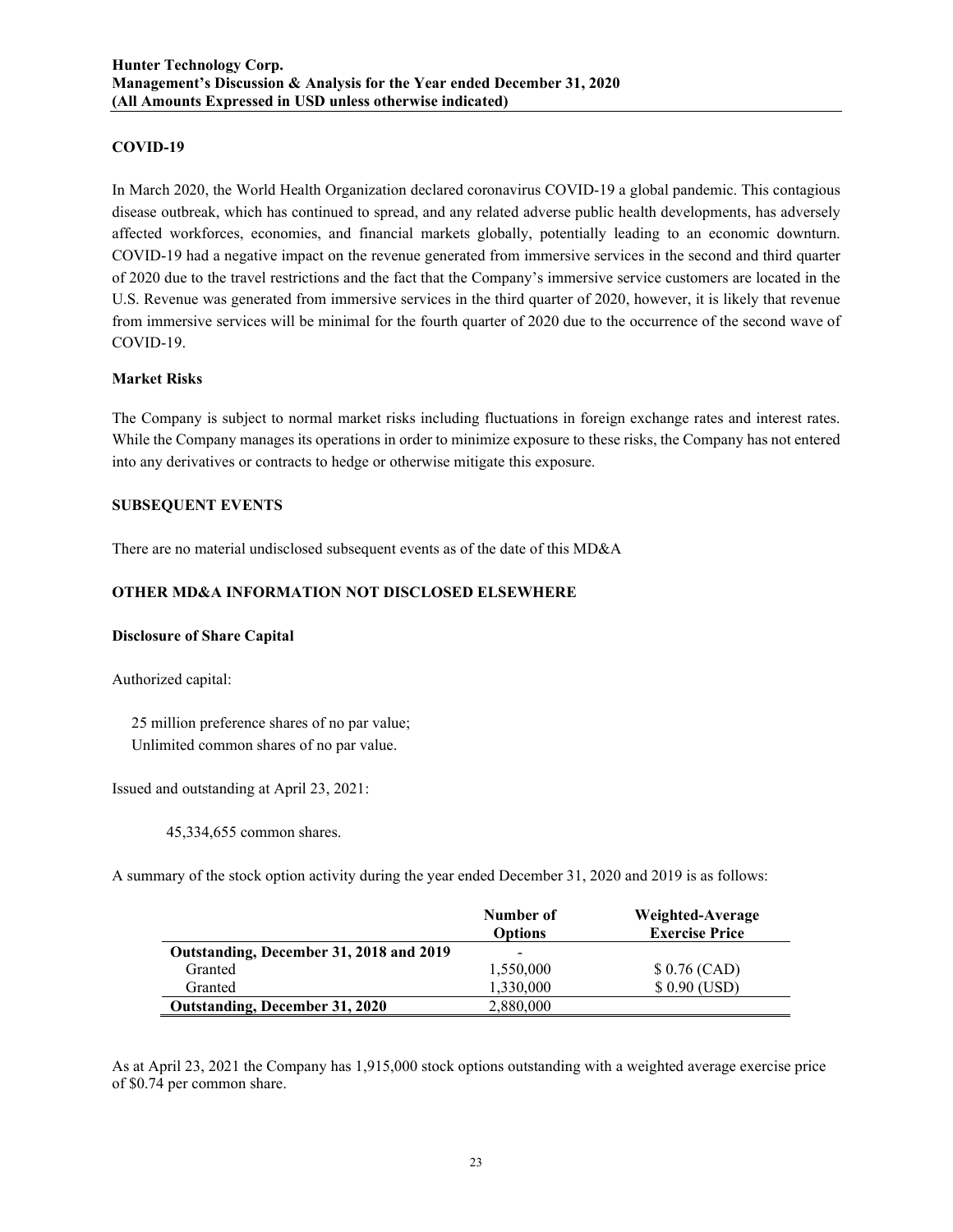## **COVID-19**

In March 2020, the World Health Organization declared coronavirus COVID-19 a global pandemic. This contagious disease outbreak, which has continued to spread, and any related adverse public health developments, has adversely affected workforces, economies, and financial markets globally, potentially leading to an economic downturn. COVID-19 had a negative impact on the revenue generated from immersive services in the second and third quarter of 2020 due to the travel restrictions and the fact that the Company's immersive service customers are located in the U.S. Revenue was generated from immersive services in the third quarter of 2020, however, it is likely that revenue from immersive services will be minimal for the fourth quarter of 2020 due to the occurrence of the second wave of COVID-19.

#### **Market Risks**

The Company is subject to normal market risks including fluctuations in foreign exchange rates and interest rates. While the Company manages its operations in order to minimize exposure to these risks, the Company has not entered into any derivatives or contracts to hedge or otherwise mitigate this exposure.

## **SUBSEQUENT EVENTS**

There are no material undisclosed subsequent events as of the date of this MD&A

## **OTHER MD&A INFORMATION NOT DISCLOSED ELSEWHERE**

## **Disclosure of Share Capital**

Authorized capital:

 25 million preference shares of no par value; Unlimited common shares of no par value.

Issued and outstanding at April 23, 2021:

45,334,655 common shares.

A summary of the stock option activity during the year ended December 31, 2020 and 2019 is as follows:

|                                         | Number of<br><b>Options</b> | Weighted-Average<br><b>Exercise Price</b> |
|-----------------------------------------|-----------------------------|-------------------------------------------|
| Outstanding, December 31, 2018 and 2019 | -                           |                                           |
| Granted                                 | 1,550,000                   | $$0.76$ (CAD)                             |
| Granted                                 | 1,330,000                   | $$0.90$ (USD)                             |
| <b>Outstanding, December 31, 2020</b>   | 2,880,000                   |                                           |

As at April 23, 2021 the Company has 1,915,000 stock options outstanding with a weighted average exercise price of \$0.74 per common share.